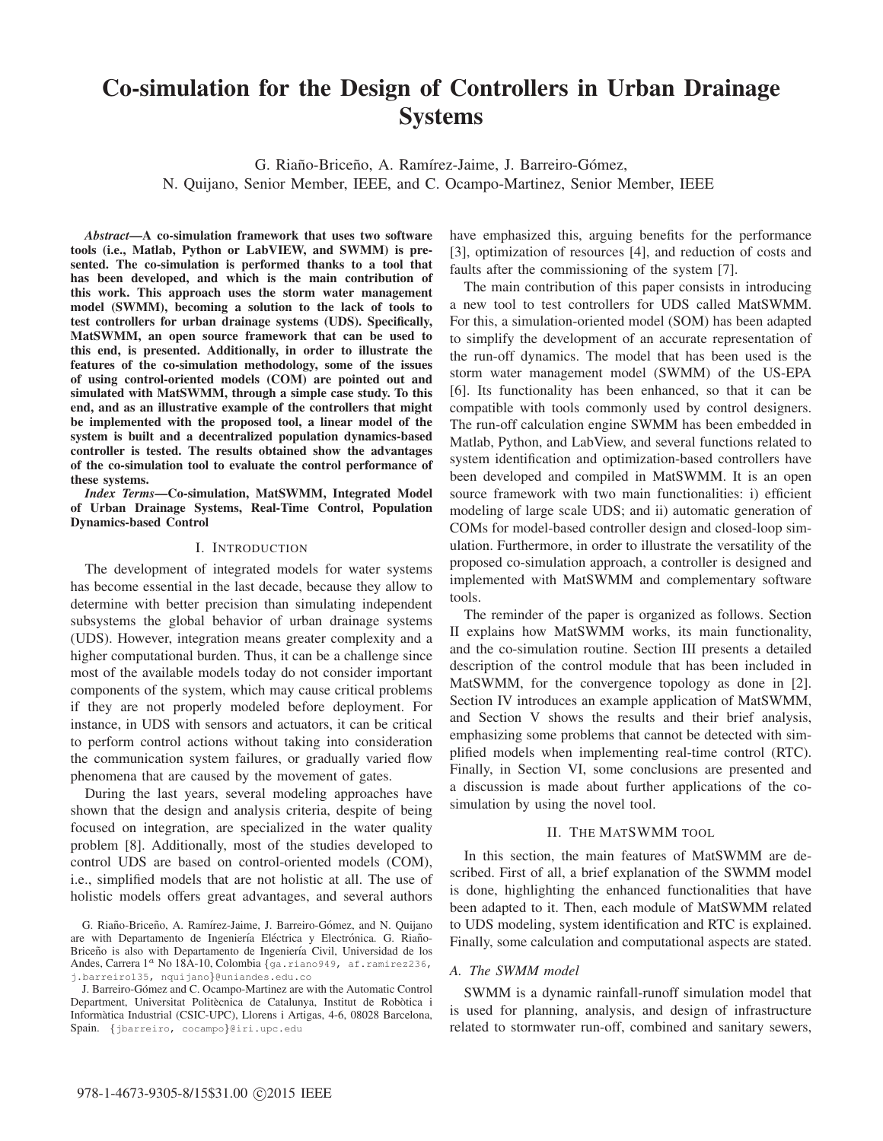# Co-simulation for the Design of Controllers in Urban Drainage Systems

G. Riaño-Briceño, A. Ramírez-Jaime, J. Barreiro-Gómez,

N. Quijano, Senior Member, IEEE, and C. Ocampo-Martinez, Senior Member, IEEE

*Abstract*—A co-simulation framework that uses two software tools (i.e., Matlab, Python or LabVIEW, and SWMM) is presented. The co-simulation is performed thanks to a tool that has been developed, and which is the main contribution of this work. This approach uses the storm water management model (SWMM), becoming a solution to the lack of tools to test controllers for urban drainage systems (UDS). Specifically, MatSWMM, an open source framework that can be used to this end, is presented. Additionally, in order to illustrate the features of the co-simulation methodology, some of the issues of using control-oriented models (COM) are pointed out and simulated with MatSWMM, through a simple case study. To this end, and as an illustrative example of the controllers that might be implemented with the proposed tool, a linear model of the system is built and a decentralized population dynamics-based controller is tested. The results obtained show the advantages of the co-simulation tool to evaluate the control performance of these systems.

*Index Terms*—Co-simulation, MatSWMM, Integrated Model of Urban Drainage Systems, Real-Time Control, Population Dynamics-based Control

## I. INTRODUCTION

The development of integrated models for water systems has become essential in the last decade, because they allow to determine with better precision than simulating independent subsystems the global behavior of urban drainage systems (UDS). However, integration means greater complexity and a higher computational burden. Thus, it can be a challenge since most of the available models today do not consider important components of the system, which may cause critical problems if they are not properly modeled before deployment. For instance, in UDS with sensors and actuators, it can be critical to perform control actions without taking into consideration the communication system failures, or gradually varied flow phenomena that are caused by the movement of gates.

During the last years, several modeling approaches have shown that the design and analysis criteria, despite of being focused on integration, are specialized in the water quality problem [8]. Additionally, most of the studies developed to control UDS are based on control-oriented models (COM), i.e., simplified models that are not holistic at all. The use of holistic models offers great advantages, and several authors

have emphasized this, arguing benefits for the performance [3], optimization of resources [4], and reduction of costs and faults after the commissioning of the system [7].

The main contribution of this paper consists in introducing a new tool to test controllers for UDS called MatSWMM. For this, a simulation-oriented model (SOM) has been adapted to simplify the development of an accurate representation of the run-off dynamics. The model that has been used is the storm water management model (SWMM) of the US-EPA [6]. Its functionality has been enhanced, so that it can be compatible with tools commonly used by control designers. The run-off calculation engine SWMM has been embedded in Matlab, Python, and LabView, and several functions related to system identification and optimization-based controllers have been developed and compiled in MatSWMM. It is an open source framework with two main functionalities: i) efficient modeling of large scale UDS; and ii) automatic generation of COMs for model-based controller design and closed-loop simulation. Furthermore, in order to illustrate the versatility of the proposed co-simulation approach, a controller is designed and implemented with MatSWMM and complementary software tools.

The reminder of the paper is organized as follows. Section II explains how MatSWMM works, its main functionality, and the co-simulation routine. Section III presents a detailed description of the control module that has been included in MatSWMM, for the convergence topology as done in [2]. Section IV introduces an example application of MatSWMM, and Section V shows the results and their brief analysis, emphasizing some problems that cannot be detected with simplified models when implementing real-time control (RTC). Finally, in Section VI, some conclusions are presented and a discussion is made about further applications of the cosimulation by using the novel tool.

## II. THE MATSWMM TOOL

In this section, the main features of MatSWMM are described. First of all, a brief explanation of the SWMM model is done, highlighting the enhanced functionalities that have been adapted to it. Then, each module of MatSWMM related to UDS modeling, system identification and RTC is explained. Finally, some calculation and computational aspects are stated.

## *A. The SWMM model*

SWMM is a dynamic rainfall-runoff simulation model that is used for planning, analysis, and design of infrastructure related to stormwater run-off, combined and sanitary sewers,

G. Riaño-Briceño, A. Ramírez-Jaime, J. Barreiro-Gómez, and N. Quijano are with Departamento de Ingeniería Eléctrica y Electrónica. G. Riaño-Briceño is also with Departamento de Ingeniería Civil, Universidad de los Andes, Carrera 1<sup>a</sup> No 18A-10, Colombia {ga.riano949, af.ramirez236, j.barreiro135, nquijano}@uniandes.edu.co

J. Barreiro-Gomez and C. Ocampo-Martinez are with the Automatic Control ´ Department, Universitat Politècnica de Catalunya, Institut de Robòtica i Informatica Industrial (CSIC-UPC), Llorens i Artigas, 4-6, 08028 Barcelona, ` Spain. {jbarreiro, cocampo}@iri.upc.edu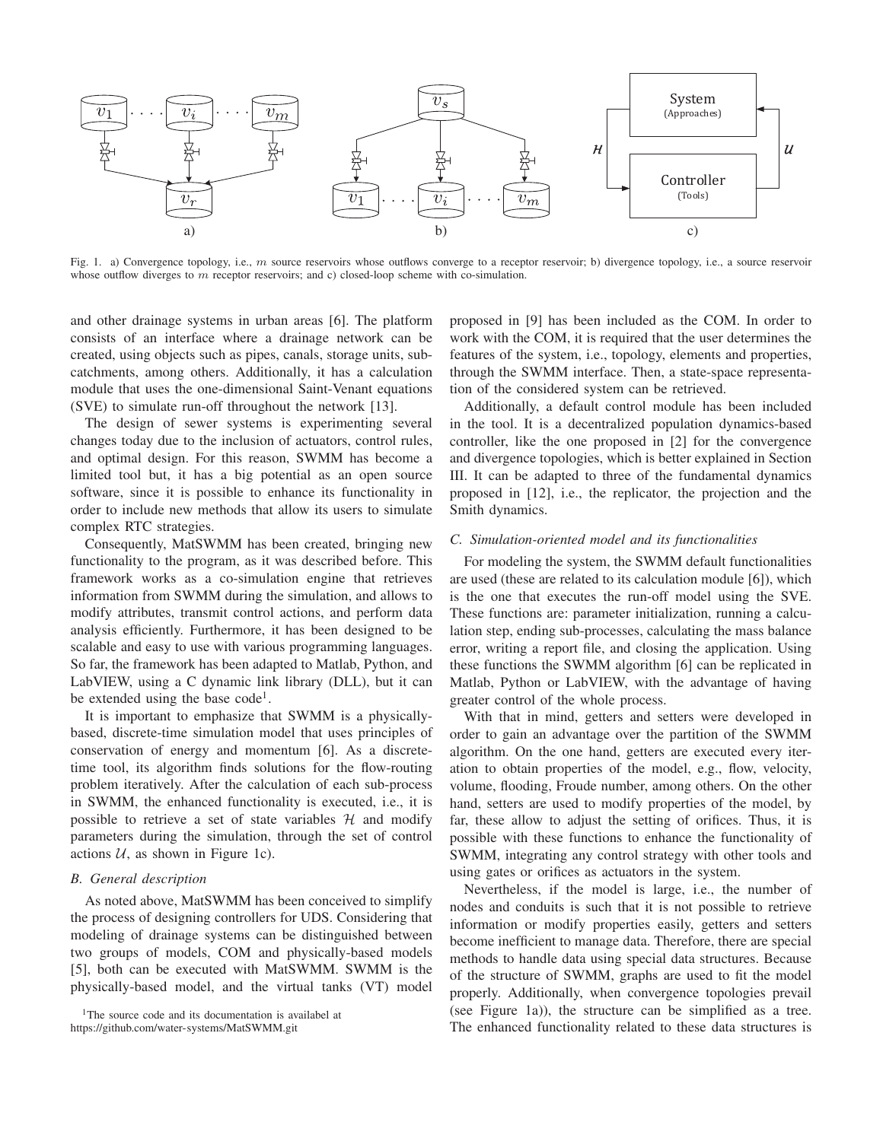

Fig. 1. a) Convergence topology, i.e., m source reservoirs whose outflows converge to a receptor reservoir; b) divergence topology, i.e., a source reservoir whose outflow diverges to m receptor reservoirs; and c) closed-loop scheme with co-simulation.

and other drainage systems in urban areas [6]. The platform consists of an interface where a drainage network can be created, using objects such as pipes, canals, storage units, subcatchments, among others. Additionally, it has a calculation module that uses the one-dimensional Saint-Venant equations (SVE) to simulate run-off throughout the network [13].

The design of sewer systems is experimenting several changes today due to the inclusion of actuators, control rules, and optimal design. For this reason, SWMM has become a limited tool but, it has a big potential as an open source software, since it is possible to enhance its functionality in order to include new methods that allow its users to simulate complex RTC strategies.

Consequently, MatSWMM has been created, bringing new functionality to the program, as it was described before. This framework works as a co-simulation engine that retrieves information from SWMM during the simulation, and allows to modify attributes, transmit control actions, and perform data analysis efficiently. Furthermore, it has been designed to be scalable and easy to use with various programming languages. So far, the framework has been adapted to Matlab, Python, and LabVIEW, using a C dynamic link library (DLL), but it can be extended using the base  $code<sup>1</sup>$ .

It is important to emphasize that SWMM is a physicallybased, discrete-time simulation model that uses principles of conservation of energy and momentum [6]. As a discretetime tool, its algorithm finds solutions for the flow-routing problem iteratively. After the calculation of each sub-process in SWMM, the enhanced functionality is executed, i.e., it is possible to retrieve a set of state variables  $H$  and modify parameters during the simulation, through the set of control actions  $U$ , as shown in Figure 1c).

# *B. General description*

As noted above, MatSWMM has been conceived to simplify the process of designing controllers for UDS. Considering that modeling of drainage systems can be distinguished between two groups of models, COM and physically-based models [5], both can be executed with MatSWMM. SWMM is the physically-based model, and the virtual tanks (VT) model

<sup>1</sup>The source code and its documentation is availabel at https://github.com/water-systems/MatSWMM.git

proposed in [9] has been included as the COM. In order to work with the COM, it is required that the user determines the features of the system, i.e., topology, elements and properties, through the SWMM interface. Then, a state-space representation of the considered system can be retrieved.

Additionally, a default control module has been included in the tool. It is a decentralized population dynamics-based controller, like the one proposed in [2] for the convergence and divergence topologies, which is better explained in Section III. It can be adapted to three of the fundamental dynamics proposed in [12], i.e., the replicator, the projection and the Smith dynamics.

#### *C. Simulation-oriented model and its functionalities*

For modeling the system, the SWMM default functionalities are used (these are related to its calculation module [6]), which is the one that executes the run-off model using the SVE. These functions are: parameter initialization, running a calculation step, ending sub-processes, calculating the mass balance error, writing a report file, and closing the application. Using these functions the SWMM algorithm [6] can be replicated in Matlab, Python or LabVIEW, with the advantage of having greater control of the whole process.

With that in mind, getters and setters were developed in order to gain an advantage over the partition of the SWMM algorithm. On the one hand, getters are executed every iteration to obtain properties of the model, e.g., flow, velocity, volume, flooding, Froude number, among others. On the other hand, setters are used to modify properties of the model, by far, these allow to adjust the setting of orifices. Thus, it is possible with these functions to enhance the functionality of SWMM, integrating any control strategy with other tools and using gates or orifices as actuators in the system.

Nevertheless, if the model is large, i.e., the number of nodes and conduits is such that it is not possible to retrieve information or modify properties easily, getters and setters become inefficient to manage data. Therefore, there are special methods to handle data using special data structures. Because of the structure of SWMM, graphs are used to fit the model properly. Additionally, when convergence topologies prevail (see Figure 1a)), the structure can be simplified as a tree. The enhanced functionality related to these data structures is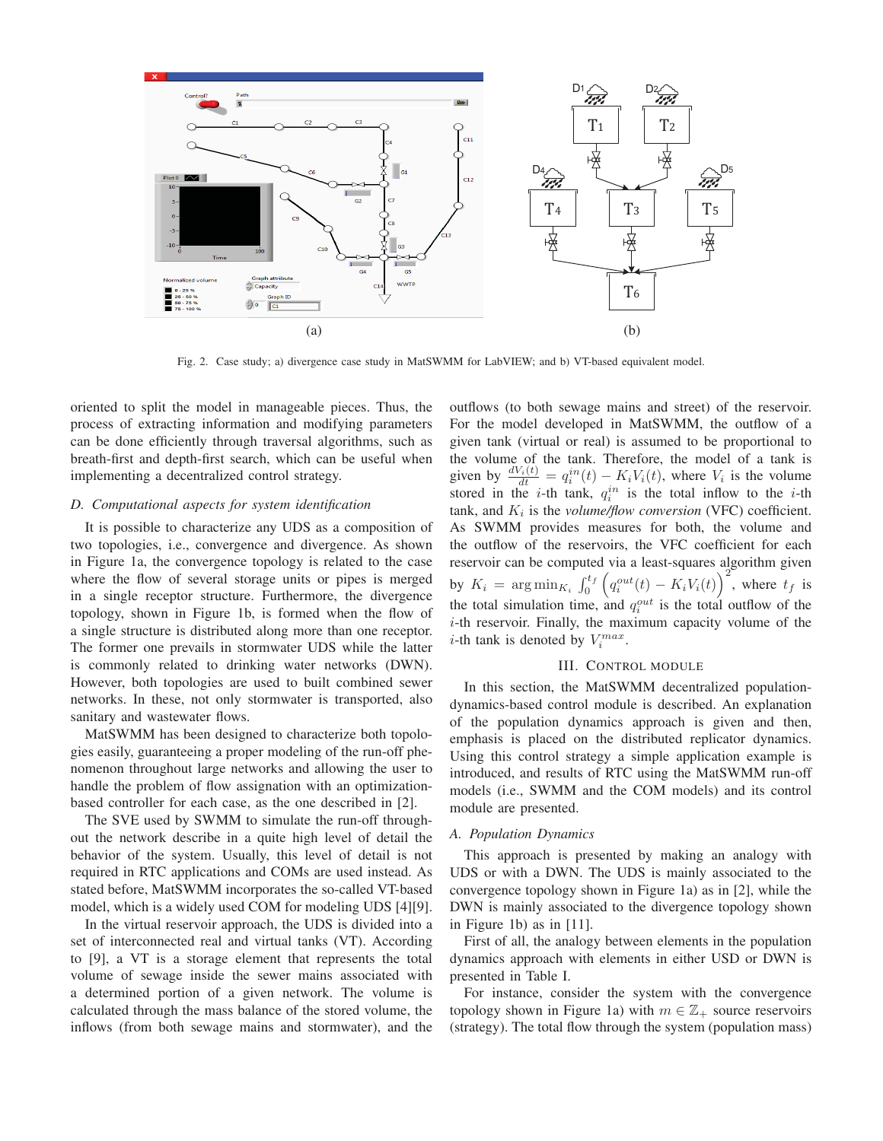

Fig. 2. Case study; a) divergence case study in MatSWMM for LabVIEW; and b) VT-based equivalent model.

oriented to split the model in manageable pieces. Thus, the process of extracting information and modifying parameters can be done efficiently through traversal algorithms, such as breath-first and depth-first search, which can be useful when implementing a decentralized control strategy.

# *D. Computational aspects for system identification*

It is possible to characterize any UDS as a composition of two topologies, i.e., convergence and divergence. As shown in Figure 1a, the convergence topology is related to the case where the flow of several storage units or pipes is merged in a single receptor structure. Furthermore, the divergence topology, shown in Figure 1b, is formed when the flow of a single structure is distributed along more than one receptor. The former one prevails in stormwater UDS while the latter is commonly related to drinking water networks (DWN). However, both topologies are used to built combined sewer networks. In these, not only stormwater is transported, also sanitary and wastewater flows.

MatSWMM has been designed to characterize both topologies easily, guaranteeing a proper modeling of the run-off phenomenon throughout large networks and allowing the user to handle the problem of flow assignation with an optimizationbased controller for each case, as the one described in [2].

The SVE used by SWMM to simulate the run-off throughout the network describe in a quite high level of detail the behavior of the system. Usually, this level of detail is not required in RTC applications and COMs are used instead. As stated before, MatSWMM incorporates the so-called VT-based model, which is a widely used COM for modeling UDS [4][9].

In the virtual reservoir approach, the UDS is divided into a set of interconnected real and virtual tanks (VT). According to [9], a VT is a storage element that represents the total volume of sewage inside the sewer mains associated with a determined portion of a given network. The volume is calculated through the mass balance of the stored volume, the inflows (from both sewage mains and stormwater), and the outflows (to both sewage mains and street) of the reservoir. For the model developed in MatSWMM, the outflow of a given tank (virtual or real) is assumed to be proportional to the volume of the tank. Therefore, the model of a tank is given by  $\frac{dV_i(t)}{dt} = q_i^{in}(t) - K_i V_i(t)$ , where  $V_i$  is the volume<br>stored in the *i*-th tank  $q_i^{in}$  is the total inflow to the *i*-th stored in the *i*-th tank,  $q_i^{in}$  is the total inflow to the *i*-th tank, and  $K_i$  is the *volume/flow conversion* (VFC) coefficient. As SWMM provides measures for both, the volume and the outflow of the reservoirs, the VFC coefficient for each reservoir can be computed via a least-squares algorithm given by  $K_i = \arg \min_{K_i} \int_0^{t_f}$  $\int_0^{t_f} \left( q_i^{out}(t) - K_i V_i(t) \right)^2$ , where  $t_f$  is the total simulation time, and  $q_i^{out}$  is the total outflow of the  $i$ -th reservoir. Finally, the maximum capacity volume of the *i*-th tank is denoted by  $V_i^{max}$ .

# III. CONTROL MODULE

In this section, the MatSWMM decentralized populationdynamics-based control module is described. An explanation of the population dynamics approach is given and then, emphasis is placed on the distributed replicator dynamics. Using this control strategy a simple application example is introduced, and results of RTC using the MatSWMM run-off models (i.e., SWMM and the COM models) and its control module are presented.

### *A. Population Dynamics*

This approach is presented by making an analogy with UDS or with a DWN. The UDS is mainly associated to the convergence topology shown in Figure 1a) as in [2], while the DWN is mainly associated to the divergence topology shown in Figure 1b) as in [11].

First of all, the analogy between elements in the population dynamics approach with elements in either USD or DWN is presented in Table I.

For instance, consider the system with the convergence topology shown in Figure 1a) with  $m \in \mathbb{Z}_+$  source reservoirs (strategy). The total flow through the system (population mass)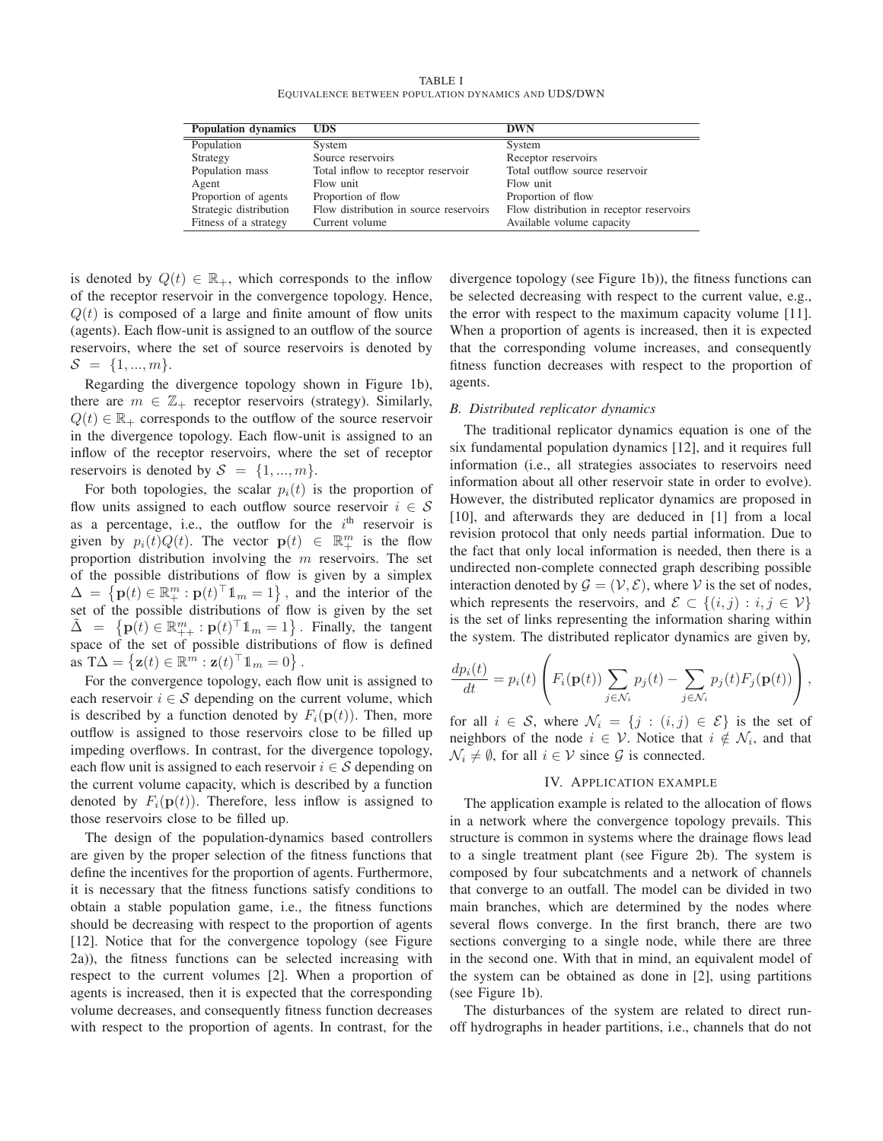TABLE I EQUIVALENCE BETWEEN POPULATION DYNAMICS AND UDS/DWN

| <b>Population dynamics</b> | <b>UDS</b>                             | <b>DWN</b>                               |
|----------------------------|----------------------------------------|------------------------------------------|
| Population                 | System                                 | System                                   |
| Strategy                   | Source reservoirs                      | Receptor reservoirs                      |
| Population mass            | Total inflow to receptor reservoir     | Total outflow source reservoir           |
| Agent                      | Flow unit                              | Flow unit                                |
| Proportion of agents       | Proportion of flow                     | Proportion of flow                       |
| Strategic distribution     | Flow distribution in source reservoirs | Flow distribution in receptor reservoirs |
| Fitness of a strategy      | Current volume                         | Available volume capacity                |

is denoted by  $Q(t) \in \mathbb{R}_+$ , which corresponds to the inflow of the receptor reservoir in the convergence topology. Hence,  $Q(t)$  is composed of a large and finite amount of flow units (agents). Each flow-unit is assigned to an outflow of the source reservoirs, where the set of source reservoirs is denoted by  $S = \{1, ..., m\}.$ 

Regarding the divergence topology shown in Figure 1b), there are  $m \in \mathbb{Z}_+$  receptor reservoirs (strategy). Similarly,  $Q(t) \in \mathbb{R}_+$  corresponds to the outflow of the source reservoir in the divergence topology. Each flow-unit is assigned to an inflow of the receptor reservoirs, where the set of receptor reservoirs is denoted by  $S = \{1, ..., m\}.$ 

For both topologies, the scalar  $p_i(t)$  is the proportion of flow units assigned to each outflow source reservoir  $i \in S$ as a percentage, i.e., the outflow for the  $i<sup>th</sup>$  reservoir is given by  $p_i(t)Q(t)$ . The vector  $\mathbf{p}(t) \in \mathbb{R}_+^m$  is the flow<br>proportion distribution involving the m reservoirs. The set proportion distribution involving the  $m$  reservoirs. The set of the possible distributions of flow is given by a simplex  $\Delta = {\mathbf{p}(t) \in \mathbb{R}_+^m : \mathbf{p}(t)^\top \mathbb{1}_m = 1}$ , and the interior of the set of the possible distributions of flow is given by the set set of the possible distributions of flow is given by the set  $\tilde{\Delta} = {\mathbf{p}(t) \in \mathbb{R}_{++}^m : \mathbf{p}(t)^\top \mathbb{1}_m = 1}.$  Finally, the tangent space of the set of possible distributions of flow is defined as  $T\Delta = {\mathbf{z}(t) \in \mathbb{R}^m : \mathbf{z}(t)^\top \mathbb{1}_m = 0}.$ <br>For the convergence topology, each  $\theta$ 

For the convergence topology, each flow unit is assigned to each reservoir  $i \in S$  depending on the current volume, which is described by a function denoted by  $F_i(\mathbf{p}(t))$ . Then, more outflow is assigned to those reservoirs close to be filled up impeding overflows. In contrast, for the divergence topology, each flow unit is assigned to each reservoir  $i \in S$  depending on the current volume capacity, which is described by a function denoted by  $F_i(\mathbf{p}(t))$ . Therefore, less inflow is assigned to those reservoirs close to be filled up.

The design of the population-dynamics based controllers are given by the proper selection of the fitness functions that define the incentives for the proportion of agents. Furthermore, it is necessary that the fitness functions satisfy conditions to obtain a stable population game, i.e., the fitness functions should be decreasing with respect to the proportion of agents [12]. Notice that for the convergence topology (see Figure 2a)), the fitness functions can be selected increasing with respect to the current volumes [2]. When a proportion of agents is increased, then it is expected that the corresponding volume decreases, and consequently fitness function decreases with respect to the proportion of agents. In contrast, for the divergence topology (see Figure 1b)), the fitness functions can be selected decreasing with respect to the current value, e.g., the error with respect to the maximum capacity volume [11]. When a proportion of agents is increased, then it is expected that the corresponding volume increases, and consequently fitness function decreases with respect to the proportion of agents.

#### *B. Distributed replicator dynamics*

The traditional replicator dynamics equation is one of the six fundamental population dynamics [12], and it requires full information (i.e., all strategies associates to reservoirs need information about all other reservoir state in order to evolve). However, the distributed replicator dynamics are proposed in [10], and afterwards they are deduced in [1] from a local revision protocol that only needs partial information. Due to the fact that only local information is needed, then there is a undirected non-complete connected graph describing possible interaction denoted by  $\mathcal{G} = (\mathcal{V}, \mathcal{E})$ , where V is the set of nodes, which represents the reservoirs, and  $\mathcal{E} \subset \{(i, j) : i, j \in \mathcal{V}\}\$ is the set of links representing the information sharing within the system. The distributed replicator dynamics are given by,

$$
\frac{dp_i(t)}{dt} = p_i(t) \left( F_i(\mathbf{p}(t)) \sum_{j \in \mathcal{N}_i} p_j(t) - \sum_{j \in \mathcal{N}_i} p_j(t) F_j(\mathbf{p}(t)) \right),
$$

for all  $i \in S$ , where  $\mathcal{N}_i = \{j : (i,j) \in \mathcal{E}\}\$ is the set of neighbors of the node  $i \in V$ . Notice that  $i \notin \mathcal{N}_i$ , and that  $\mathcal{N}_i \neq \emptyset$ , for all  $i \in \mathcal{V}$  since  $\mathcal{G}$  is connected.

## IV. APPLICATION EXAMPLE

The application example is related to the allocation of flows in a network where the convergence topology prevails. This structure is common in systems where the drainage flows lead to a single treatment plant (see Figure 2b). The system is composed by four subcatchments and a network of channels that converge to an outfall. The model can be divided in two main branches, which are determined by the nodes where several flows converge. In the first branch, there are two sections converging to a single node, while there are three in the second one. With that in mind, an equivalent model of the system can be obtained as done in [2], using partitions (see Figure 1b).

The disturbances of the system are related to direct runoff hydrographs in header partitions, i.e., channels that do not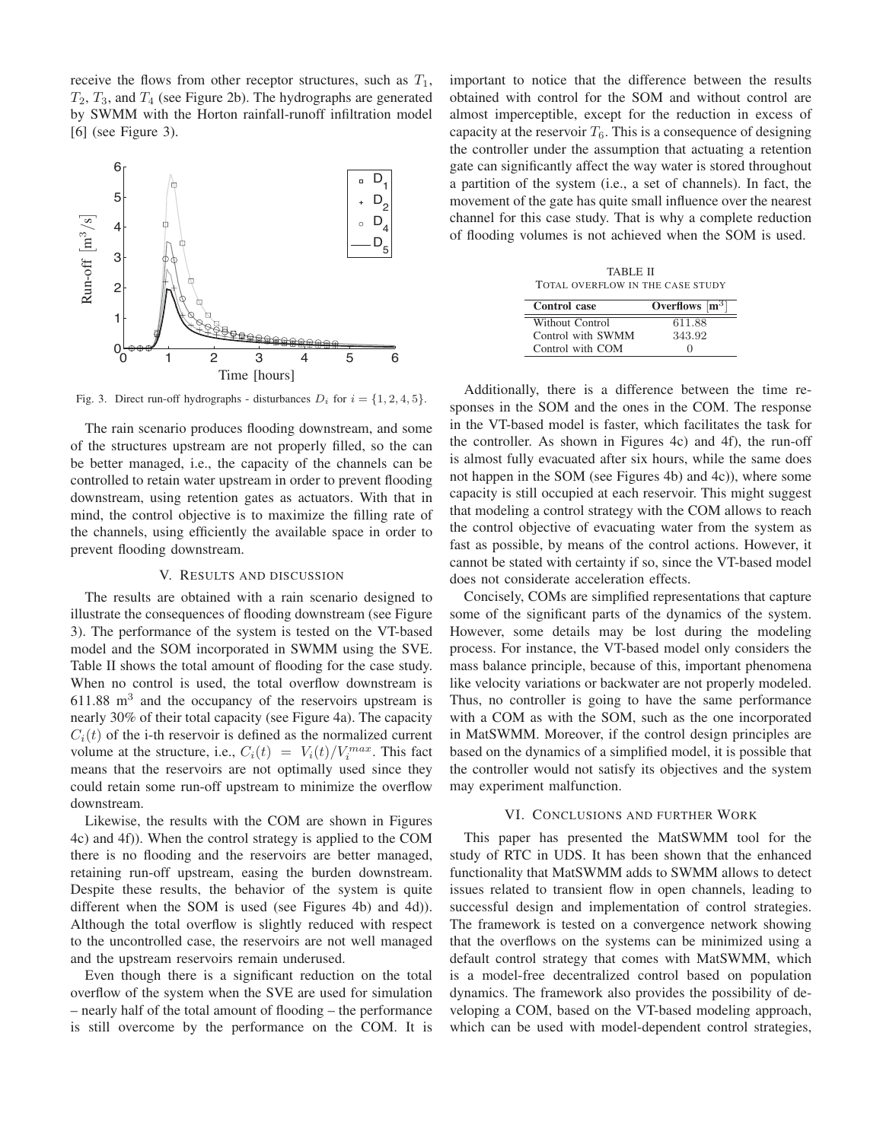receive the flows from other receptor structures, such as  $T_1$ ,  $T_2, T_3$ , and  $T_4$  (see Figure 2b). The hydrographs are generated by SWMM with the Horton rainfall-runoff infiltration model [6] (see Figure 3).



Fig. 3. Direct run-off hydrographs - disturbances  $D_i$  for  $i = \{1, 2, 4, 5\}.$ 

The rain scenario produces flooding downstream, and some of the structures upstream are not properly filled, so the can be better managed, i.e., the capacity of the channels can be controlled to retain water upstream in order to prevent flooding downstream, using retention gates as actuators. With that in mind, the control objective is to maximize the filling rate of the channels, using efficiently the available space in order to prevent flooding downstream.

#### V. RESULTS AND DISCUSSION

The results are obtained with a rain scenario designed to illustrate the consequences of flooding downstream (see Figure 3). The performance of the system is tested on the VT-based model and the SOM incorporated in SWMM using the SVE. Table II shows the total amount of flooding for the case study. When no control is used, the total overflow downstream is  $611.88$  m<sup>3</sup> and the occupancy of the reservoirs upstream is nearly 30% of their total capacity (see Figure 4a). The capacity  $C_i(t)$  of the i-th reservoir is defined as the normalized current volume at the structure, i.e.,  $C_i(t) = V_i(t)/V_i^{max}$ . This fact<br>means that the reservoirs are not optimally used since they means that the reservoirs are not optimally used since they could retain some run-off upstream to minimize the overflow downstream.

Likewise, the results with the COM are shown in Figures 4c) and 4f)). When the control strategy is applied to the COM there is no flooding and the reservoirs are better managed, retaining run-off upstream, easing the burden downstream. Despite these results, the behavior of the system is quite different when the SOM is used (see Figures 4b) and 4d)). Although the total overflow is slightly reduced with respect to the uncontrolled case, the reservoirs are not well managed and the upstream reservoirs remain underused.

Even though there is a significant reduction on the total overflow of the system when the SVE are used for simulation – nearly half of the total amount of flooding – the performance is still overcome by the performance on the COM. It is important to notice that the difference between the results obtained with control for the SOM and without control are almost imperceptible, except for the reduction in excess of capacity at the reservoir  $T_6$ . This is a consequence of designing the controller under the assumption that actuating a retention gate can significantly affect the way water is stored throughout a partition of the system (i.e., a set of channels). In fact, the movement of the gate has quite small influence over the nearest channel for this case study. That is why a complete reduction of flooding volumes is not achieved when the SOM is used.

TABLE II TOTAL OVERFLOW IN THE CASE STUDY

| Control case      | Overflows $[m^3]$ |
|-------------------|-------------------|
| Without Control   | 611.88            |
| Control with SWMM | 343.92            |
| Control with COM  |                   |

Additionally, there is a difference between the time responses in the SOM and the ones in the COM. The response in the VT-based model is faster, which facilitates the task for the controller. As shown in Figures 4c) and 4f), the run-off is almost fully evacuated after six hours, while the same does not happen in the SOM (see Figures 4b) and 4c)), where some capacity is still occupied at each reservoir. This might suggest that modeling a control strategy with the COM allows to reach the control objective of evacuating water from the system as fast as possible, by means of the control actions. However, it cannot be stated with certainty if so, since the VT-based model does not considerate acceleration effects.

Concisely, COMs are simplified representations that capture some of the significant parts of the dynamics of the system. However, some details may be lost during the modeling process. For instance, the VT-based model only considers the mass balance principle, because of this, important phenomena like velocity variations or backwater are not properly modeled. Thus, no controller is going to have the same performance with a COM as with the SOM, such as the one incorporated in MatSWMM. Moreover, if the control design principles are based on the dynamics of a simplified model, it is possible that the controller would not satisfy its objectives and the system may experiment malfunction.

### VI. CONCLUSIONS AND FURTHER WORK

This paper has presented the MatSWMM tool for the study of RTC in UDS. It has been shown that the enhanced functionality that MatSWMM adds to SWMM allows to detect issues related to transient flow in open channels, leading to successful design and implementation of control strategies. The framework is tested on a convergence network showing that the overflows on the systems can be minimized using a default control strategy that comes with MatSWMM, which is a model-free decentralized control based on population dynamics. The framework also provides the possibility of developing a COM, based on the VT-based modeling approach, which can be used with model-dependent control strategies,